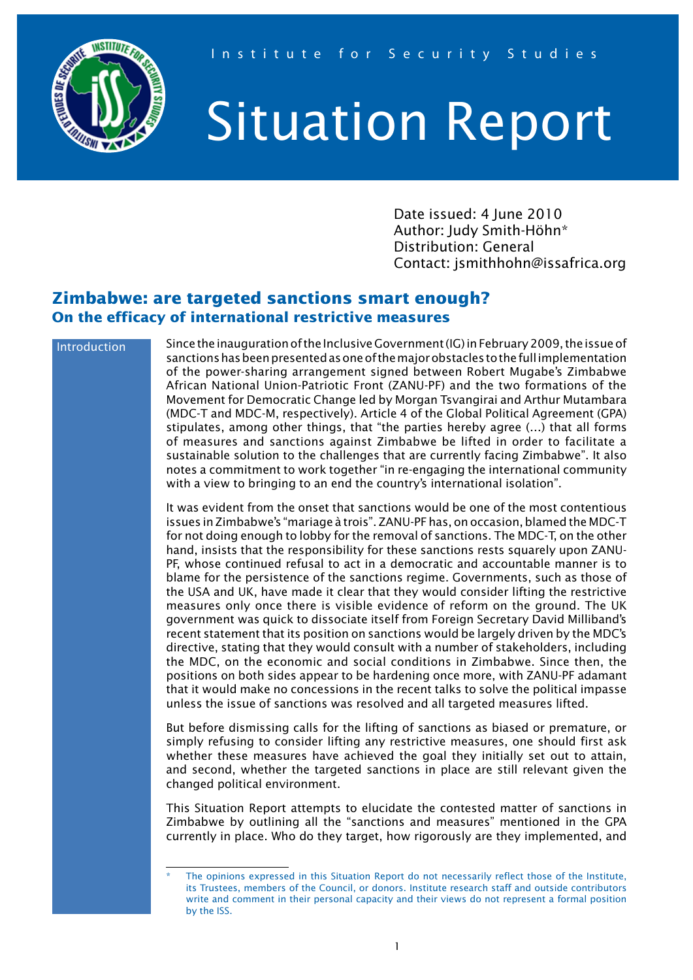

## Situation Report

Date issued: 4 June 2010 Author: Judy Smith-Höhn\* Distribution: General Contact: jsmithhohn@issafrica.org

## **Zimbabwe: are targeted sanctions smart enough? On the efficacy of international restrictive measures**

## Introduction

Since the inauguration of the Inclusive Government (IG) in February 2009, the issue of sanctions has been presented as one of the major obstacles to the full implementation of the power-sharing arrangement signed between Robert Mugabe's Zimbabwe African National Union-Patriotic Front (ZANU-PF) and the two formations of the Movement for Democratic Change led by Morgan Tsvangirai and Arthur Mutambara (MDC-T and MDC-M, respectively). Article 4 of the Global Political Agreement (GPA) stipulates, among other things, that "the parties hereby agree (…) that all forms of measures and sanctions against Zimbabwe be lifted in order to facilitate a sustainable solution to the challenges that are currently facing Zimbabwe". It also notes a commitment to work together "in re-engaging the international community with a view to bringing to an end the country's international isolation".

It was evident from the onset that sanctions would be one of the most contentious issues in Zimbabwe's "mariage à trois". ZANU-PF has, on occasion, blamed the MDC-T for not doing enough to lobby for the removal of sanctions. The MDC-T, on the other hand, insists that the responsibility for these sanctions rests squarely upon ZANU-PF, whose continued refusal to act in a democratic and accountable manner is to blame for the persistence of the sanctions regime. Governments, such as those of the USA and UK, have made it clear that they would consider lifting the restrictive measures only once there is visible evidence of reform on the ground. The UK government was quick to dissociate itself from Foreign Secretary David Milliband's recent statement that its position on sanctions would be largely driven by the MDC's directive, stating that they would consult with a number of stakeholders, including the MDC, on the economic and social conditions in Zimbabwe. Since then, the positions on both sides appear to be hardening once more, with ZANU-PF adamant that it would make no concessions in the recent talks to solve the political impasse unless the issue of sanctions was resolved and all targeted measures lifted.

But before dismissing calls for the lifting of sanctions as biased or premature, or simply refusing to consider lifting any restrictive measures, one should first ask whether these measures have achieved the goal they initially set out to attain, and second, whether the targeted sanctions in place are still relevant given the changed political environment.

This Situation Report attempts to elucidate the contested matter of sanctions in Zimbabwe by outlining all the "sanctions and measures" mentioned in the GPA currently in place. Who do they target, how rigorously are they implemented, and

The opinions expressed in this Situation Report do not necessarily reflect those of the Institute, its Trustees, members of the Council, or donors. Institute research staff and outside contributors write and comment in their personal capacity and their views do not represent a formal position by the ISS.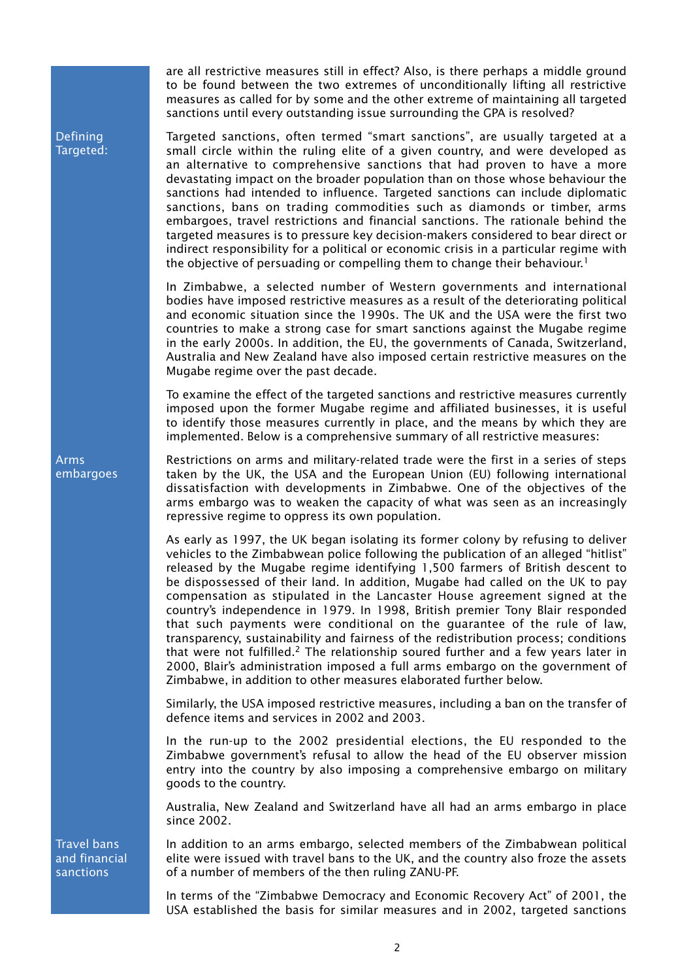are all restrictive measures still in effect? Also, is there perhaps a middle ground to be found between the two extremes of unconditionally lifting all restrictive measures as called for by some and the other extreme of maintaining all targeted sanctions until every outstanding issue surrounding the GPA is resolved?

Defining Targeted: Targeted sanctions, often termed "smart sanctions", are usually targeted at a small circle within the ruling elite of a given country, and were developed as an alternative to comprehensive sanctions that had proven to have a more devastating impact on the broader population than on those whose behaviour the sanctions had intended to influence. Targeted sanctions can include diplomatic sanctions, bans on trading commodities such as diamonds or timber, arms embargoes, travel restrictions and financial sanctions. The rationale behind the targeted measures is to pressure key decision-makers considered to bear direct or indirect responsibility for a political or economic crisis in a particular regime with the objective of persuading or compelling them to change their behaviour.<sup>1</sup>

In Zimbabwe, a selected number of Western governments and international bodies have imposed restrictive measures as a result of the deteriorating political and economic situation since the 1990s. The UK and the USA were the first two countries to make a strong case for smart sanctions against the Mugabe regime in the early 2000s. In addition, the EU, the governments of Canada, Switzerland, Australia and New Zealand have also imposed certain restrictive measures on the Mugabe regime over the past decade.

To examine the effect of the targeted sanctions and restrictive measures currently imposed upon the former Mugabe regime and affiliated businesses, it is useful to identify those measures currently in place, and the means by which they are implemented. Below is a comprehensive summary of all restrictive measures:

Restrictions on arms and military-related trade were the first in a series of steps taken by the UK, the USA and the European Union (EU) following international dissatisfaction with developments in Zimbabwe. One of the objectives of the arms embargo was to weaken the capacity of what was seen as an increasingly repressive regime to oppress its own population.

As early as 1997, the UK began isolating its former colony by refusing to deliver vehicles to the Zimbabwean police following the publication of an alleged "hitlist" released by the Mugabe regime identifying 1,500 farmers of British descent to be dispossessed of their land. In addition, Mugabe had called on the UK to pay compensation as stipulated in the Lancaster House agreement signed at the country's independence in 1979. In 1998, British premier Tony Blair responded that such payments were conditional on the guarantee of the rule of law, transparency, sustainability and fairness of the redistribution process; conditions that were not fulfilled.<sup>2</sup> The relationship soured further and a few years later in 2000, Blair's administration imposed a full arms embargo on the government of Zimbabwe, in addition to other measures elaborated further below.

Similarly, the USA imposed restrictive measures, including a ban on the transfer of defence items and services in 2002 and 2003.

In the run-up to the 2002 presidential elections, the EU responded to the Zimbabwe government's refusal to allow the head of the EU observer mission entry into the country by also imposing a comprehensive embargo on military goods to the country.

Australia, New Zealand and Switzerland have all had an arms embargo in place since 2002.

In addition to an arms embargo, selected members of the Zimbabwean political elite were issued with travel bans to the UK, and the country also froze the assets of a number of members of the then ruling ZANU-PF.

In terms of the "Zimbabwe Democracy and Economic Recovery Act" of 2001, the USA established the basis for similar measures and in 2002, targeted sanctions

Arms embargoes

Travel bans and financial sanctions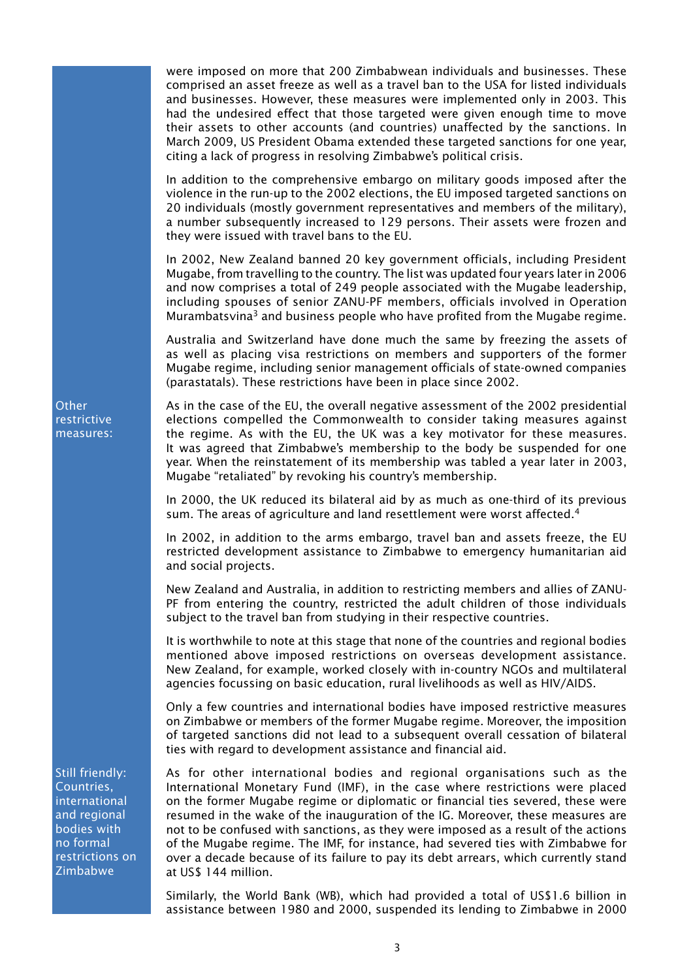were imposed on more that 200 Zimbabwean individuals and businesses. These comprised an asset freeze as well as a travel ban to the USA for listed individuals and businesses. However, these measures were implemented only in 2003. This had the undesired effect that those targeted were given enough time to move their assets to other accounts (and countries) unaffected by the sanctions. In March 2009, US President Obama extended these targeted sanctions for one year, citing a lack of progress in resolving Zimbabwe's political crisis.

In addition to the comprehensive embargo on military goods imposed after the violence in the run-up to the 2002 elections, the EU imposed targeted sanctions on 20 individuals (mostly government representatives and members of the military), a number subsequently increased to 129 persons. Their assets were frozen and they were issued with travel bans to the EU.

In 2002, New Zealand banned 20 key government officials, including President Mugabe, from travelling to the country. The list was updated four years later in 2006 and now comprises a total of 249 people associated with the Mugabe leadership, including spouses of senior ZANU-PF members, officials involved in Operation Murambatsvina<sup>3</sup> and business people who have profited from the Mugabe regime.

Australia and Switzerland have done much the same by freezing the assets of as well as placing visa restrictions on members and supporters of the former Mugabe regime, including senior management officials of state-owned companies (parastatals). These restrictions have been in place since 2002.

As in the case of the EU, the overall negative assessment of the 2002 presidential elections compelled the Commonwealth to consider taking measures against the regime. As with the EU, the UK was a key motivator for these measures. It was agreed that Zimbabwe's membership to the body be suspended for one year. When the reinstatement of its membership was tabled a year later in 2003, Mugabe "retaliated" by revoking his country's membership.

In 2000, the UK reduced its bilateral aid by as much as one-third of its previous sum. The areas of agriculture and land resettlement were worst affected.<sup>4</sup>

In 2002, in addition to the arms embargo, travel ban and assets freeze, the EU restricted development assistance to Zimbabwe to emergency humanitarian aid and social projects.

New Zealand and Australia, in addition to restricting members and allies of ZANU-PF from entering the country, restricted the adult children of those individuals subject to the travel ban from studying in their respective countries.

It is worthwhile to note at this stage that none of the countries and regional bodies mentioned above imposed restrictions on overseas development assistance. New Zealand, for example, worked closely with in-country NGOs and multilateral agencies focussing on basic education, rural livelihoods as well as HIV/AIDS.

Only a few countries and international bodies have imposed restrictive measures on Zimbabwe or members of the former Mugabe regime. Moreover, the imposition of targeted sanctions did not lead to a subsequent overall cessation of bilateral ties with regard to development assistance and financial aid.

As for other international bodies and regional organisations such as the International Monetary Fund (IMF), in the case where restrictions were placed on the former Mugabe regime or diplomatic or financial ties severed, these were resumed in the wake of the inauguration of the IG. Moreover, these measures are not to be confused with sanctions, as they were imposed as a result of the actions of the Mugabe regime. The IMF, for instance, had severed ties with Zimbabwe for over a decade because of its failure to pay its debt arrears, which currently stand at US\$ 144 million.

Similarly, the World Bank (WB), which had provided a total of US\$1.6 billion in assistance between 1980 and 2000, suspended its lending to Zimbabwe in 2000

**Other** restrictive measures:

Still friendly: Countries, international and regional bodies with no formal restrictions on Zimbabwe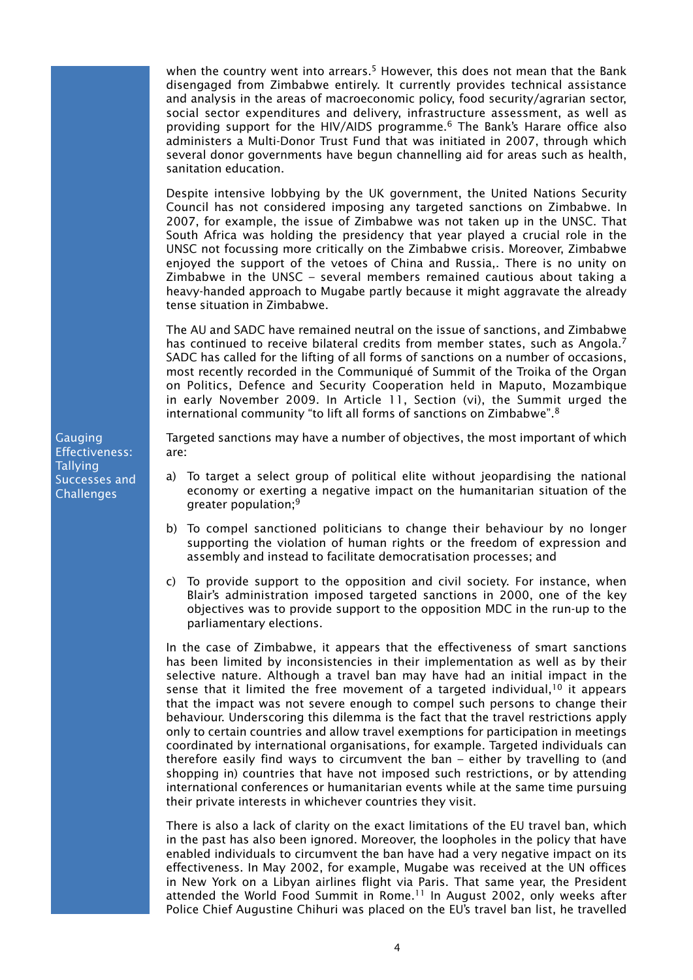when the country went into arrears.<sup>5</sup> However, this does not mean that the Bank disengaged from Zimbabwe entirely. It currently provides technical assistance and analysis in the areas of macroeconomic policy, food security/agrarian sector, social sector expenditures and delivery, infrastructure assessment, as well as providing support for the HIV/AIDS programme.6 The Bank's Harare office also administers a Multi-Donor Trust Fund that was initiated in 2007, through which several donor governments have begun channelling aid for areas such as health, sanitation education.

Despite intensive lobbying by the UK government, the United Nations Security Council has not considered imposing any targeted sanctions on Zimbabwe. In 2007, for example, the issue of Zimbabwe was not taken up in the UNSC. That South Africa was holding the presidency that year played a crucial role in the UNSC not focussing more critically on the Zimbabwe crisis. Moreover, Zimbabwe enjoyed the support of the vetoes of China and Russia,. There is no unity on Zimbabwe in the UNSC – several members remained cautious about taking a heavy-handed approach to Mugabe partly because it might aggravate the already tense situation in Zimbabwe.

The AU and SADC have remained neutral on the issue of sanctions, and Zimbabwe has continued to receive bilateral credits from member states, such as Angola.<sup>7</sup> SADC has called for the lifting of all forms of sanctions on a number of occasions, most recently recorded in the Communiqué of Summit of the Troika of the Organ on Politics, Defence and Security Cooperation held in Maputo, Mozambique in early November 2009. In Article 11, Section (vi), the Summit urged the international community "to lift all forms of sanctions on Zimbabwe".8

Targeted sanctions may have a number of objectives, the most important of which are:

- a) To target a select group of political elite without jeopardising the national economy or exerting a negative impact on the humanitarian situation of the greater population;9
- b) To compel sanctioned politicians to change their behaviour by no longer supporting the violation of human rights or the freedom of expression and assembly and instead to facilitate democratisation processes; and
- c) To provide support to the opposition and civil society. For instance, when Blair's administration imposed targeted sanctions in 2000, one of the key objectives was to provide support to the opposition MDC in the run-up to the parliamentary elections.

In the case of Zimbabwe, it appears that the effectiveness of smart sanctions has been limited by inconsistencies in their implementation as well as by their selective nature. Although a travel ban may have had an initial impact in the sense that it limited the free movement of a targeted individual,  $10$  it appears that the impact was not severe enough to compel such persons to change their behaviour. Underscoring this dilemma is the fact that the travel restrictions apply only to certain countries and allow travel exemptions for participation in meetings coordinated by international organisations, for example. Targeted individuals can therefore easily find ways to circumvent the ban – either by travelling to (and shopping in) countries that have not imposed such restrictions, or by attending international conferences or humanitarian events while at the same time pursuing their private interests in whichever countries they visit.

There is also a lack of clarity on the exact limitations of the EU travel ban, which in the past has also been ignored. Moreover, the loopholes in the policy that have enabled individuals to circumvent the ban have had a very negative impact on its effectiveness. In May 2002, for example, Mugabe was received at the UN offices in New York on a Libyan airlines flight via Paris. That same year, the President attended the World Food Summit in Rome.<sup>11</sup> In August 2002, only weeks after Police Chief Augustine Chihuri was placed on the EU's travel ban list, he travelled

Gauging Effectiveness: Tallying Successes and **Challenges**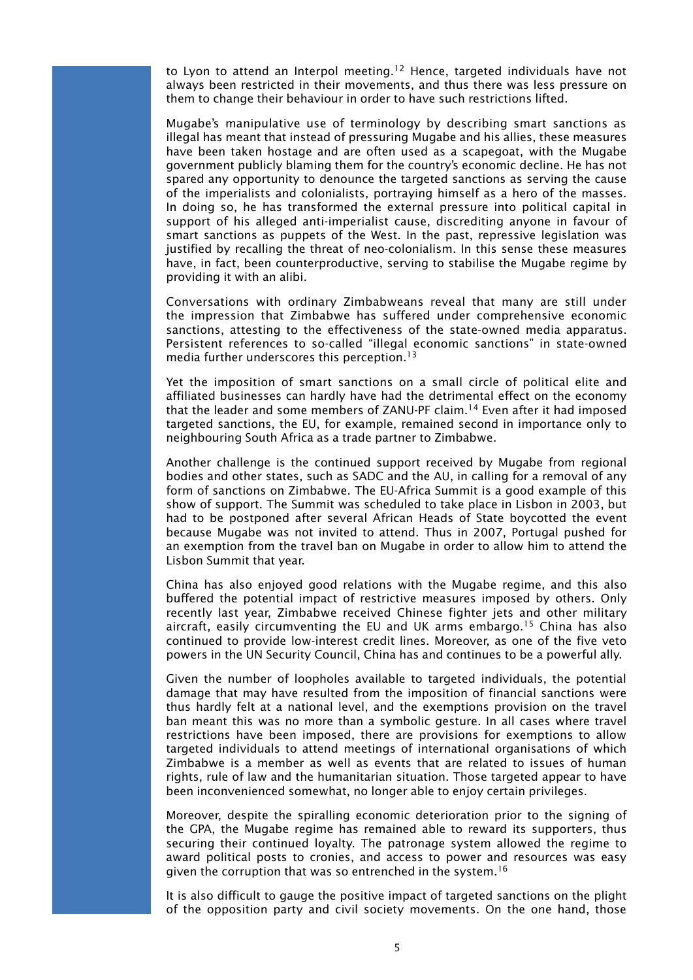to Lyon to attend an Interpol meeting.<sup>12</sup> Hence, targeted individuals have not always been restricted in their movements, and thus there was less pressure on them to change their behaviour in order to have such restrictions lifted.

Mugabe's manipulative use of terminology by describing smart sanctions as illegal has meant that instead of pressuring Mugabe and his allies, these measures have been taken hostage and are often used as a scapegoat, with the Mugabe government publicly blaming them for the country's economic decline. He has not spared any opportunity to denounce the targeted sanctions as serving the cause of the imperialists and colonialists, portraying himself as a hero of the masses. In doing so, he has transformed the external pressure into political capital in support of his alleged anti-imperialist cause, discrediting anyone in favour of smart sanctions as puppets of the West. In the past, repressive legislation was justified by recalling the threat of neo-colonialism. In this sense these measures have, in fact, been counterproductive, serving to stabilise the Mugabe regime by providing it with an alibi.

Conversations with ordinary Zimbabweans reveal that many are still under the impression that Zimbabwe has suffered under comprehensive economic sanctions, attesting to the effectiveness of the state-owned media apparatus. Persistent references to so-called "illegal economic sanctions" in state-owned media further underscores this perception.<sup>13</sup>

Yet the imposition of smart sanctions on a small circle of political elite and affiliated businesses can hardly have had the detrimental effect on the economy that the leader and some members of ZANU-PF claim.<sup>14</sup> Even after it had imposed targeted sanctions, the EU, for example, remained second in importance only to neighbouring South Africa as a trade partner to Zimbabwe.

Another challenge is the continued support received by Mugabe from regional bodies and other states, such as SADC and the AU, in calling for a removal of any form of sanctions on Zimbabwe. The EU-Africa Summit is a good example of this show of support. The Summit was scheduled to take place in Lisbon in 2003, but had to be postponed after several African Heads of State boycotted the event because Mugabe was not invited to attend. Thus in 2007, Portugal pushed for an exemption from the travel ban on Mugabe in order to allow him to attend the Lisbon Summit that year.

China has also enjoyed good relations with the Mugabe regime, and this also buffered the potential impact of restrictive measures imposed by others. Only recently last year, Zimbabwe received Chinese fighter jets and other military aircraft, easily circumventing the EU and UK arms embargo.<sup>15</sup> China has also continued to provide low-interest credit lines. Moreover, as one of the five veto powers in the UN Security Council, China has and continues to be a powerful ally.

Given the number of loopholes available to targeted individuals, the potential damage that may have resulted from the imposition of financial sanctions were thus hardly felt at a national level, and the exemptions provision on the travel ban meant this was no more than a symbolic gesture. In all cases where travel restrictions have been imposed, there are provisions for exemptions to allow targeted individuals to attend meetings of international organisations of which Zimbabwe is a member as well as events that are related to issues of human rights, rule of law and the humanitarian situation. Those targeted appear to have been inconvenienced somewhat, no longer able to enjoy certain privileges.

Moreover, despite the spiralling economic deterioration prior to the signing of the GPA, the Mugabe regime has remained able to reward its supporters, thus securing their continued loyalty. The patronage system allowed the regime to award political posts to cronies, and access to power and resources was easy given the corruption that was so entrenched in the system.<sup>16</sup>

It is also difficult to gauge the positive impact of targeted sanctions on the plight of the opposition party and civil society movements. On the one hand, those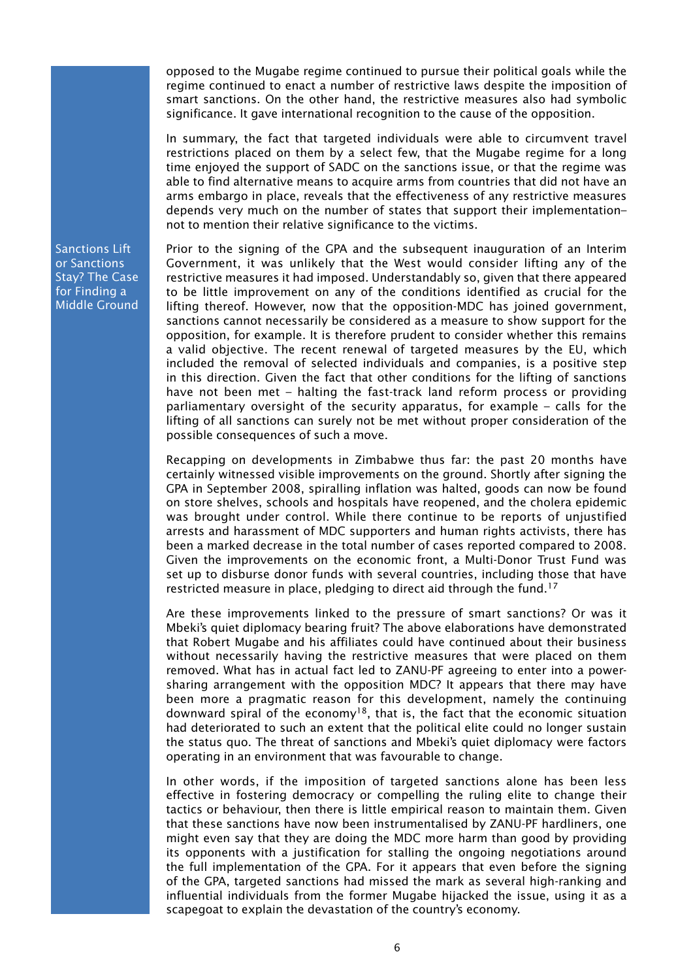opposed to the Mugabe regime continued to pursue their political goals while the regime continued to enact a number of restrictive laws despite the imposition of smart sanctions. On the other hand, the restrictive measures also had symbolic significance. It gave international recognition to the cause of the opposition.

In summary, the fact that targeted individuals were able to circumvent travel restrictions placed on them by a select few, that the Mugabe regime for a long time enjoyed the support of SADC on the sanctions issue, or that the regime was able to find alternative means to acquire arms from countries that did not have an arms embargo in place, reveals that the effectiveness of any restrictive measures depends very much on the number of states that support their implementation– not to mention their relative significance to the victims.

Sanctions Lift or Sanctions Stay? The Case for Finding a Middle Ground Prior to the signing of the GPA and the subsequent inauguration of an Interim Government, it was unlikely that the West would consider lifting any of the restrictive measures it had imposed. Understandably so, given that there appeared to be little improvement on any of the conditions identified as crucial for the lifting thereof. However, now that the opposition-MDC has joined government, sanctions cannot necessarily be considered as a measure to show support for the opposition, for example. It is therefore prudent to consider whether this remains a valid objective. The recent renewal of targeted measures by the EU, which included the removal of selected individuals and companies, is a positive step in this direction. Given the fact that other conditions for the lifting of sanctions have not been met – halting the fast-track land reform process or providing parliamentary oversight of the security apparatus, for example – calls for the lifting of all sanctions can surely not be met without proper consideration of the possible consequences of such a move.

Recapping on developments in Zimbabwe thus far: the past 20 months have certainly witnessed visible improvements on the ground. Shortly after signing the GPA in September 2008, spiralling inflation was halted, goods can now be found on store shelves, schools and hospitals have reopened, and the cholera epidemic was brought under control. While there continue to be reports of unjustified arrests and harassment of MDC supporters and human rights activists, there has been a marked decrease in the total number of cases reported compared to 2008. Given the improvements on the economic front, a Multi-Donor Trust Fund was set up to disburse donor funds with several countries, including those that have restricted measure in place, pledging to direct aid through the fund.<sup>17</sup>

Are these improvements linked to the pressure of smart sanctions? Or was it Mbeki's quiet diplomacy bearing fruit? The above elaborations have demonstrated that Robert Mugabe and his affiliates could have continued about their business without necessarily having the restrictive measures that were placed on them removed. What has in actual fact led to ZANU-PF agreeing to enter into a powersharing arrangement with the opposition MDC? It appears that there may have been more a pragmatic reason for this development, namely the continuing downward spiral of the economy<sup>18</sup>, that is, the fact that the economic situation had deteriorated to such an extent that the political elite could no longer sustain the status quo. The threat of sanctions and Mbeki's quiet diplomacy were factors operating in an environment that was favourable to change.

In other words, if the imposition of targeted sanctions alone has been less effective in fostering democracy or compelling the ruling elite to change their tactics or behaviour, then there is little empirical reason to maintain them. Given that these sanctions have now been instrumentalised by ZANU-PF hardliners, one might even say that they are doing the MDC more harm than good by providing its opponents with a justification for stalling the ongoing negotiations around the full implementation of the GPA. For it appears that even before the signing of the GPA, targeted sanctions had missed the mark as several high-ranking and influential individuals from the former Mugabe hijacked the issue, using it as a scapegoat to explain the devastation of the country's economy.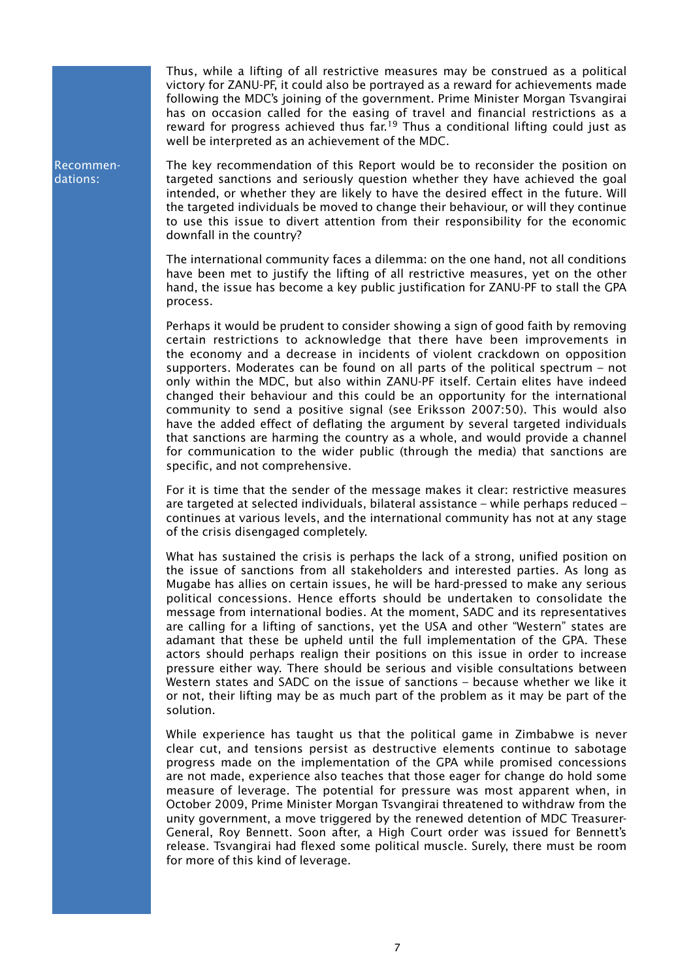Thus, while a lifting of all restrictive measures may be construed as a political victory for ZANU-PF, it could also be portrayed as a reward for achievements made following the MDC's joining of the government. Prime Minister Morgan Tsvangirai has on occasion called for the easing of travel and financial restrictions as a reward for progress achieved thus  $far^{19}$  Thus a conditional lifting could just as well be interpreted as an achievement of the MDC.

The key recommendation of this Report would be to reconsider the position on targeted sanctions and seriously question whether they have achieved the goal intended, or whether they are likely to have the desired effect in the future. Will the targeted individuals be moved to change their behaviour, or will they continue to use this issue to divert attention from their responsibility for the economic downfall in the country?

The international community faces a dilemma: on the one hand, not all conditions have been met to justify the lifting of all restrictive measures, yet on the other hand, the issue has become a key public justification for ZANU-PF to stall the GPA process.

Perhaps it would be prudent to consider showing a sign of good faith by removing certain restrictions to acknowledge that there have been improvements in the economy and a decrease in incidents of violent crackdown on opposition supporters. Moderates can be found on all parts of the political spectrum – not only within the MDC, but also within ZANU-PF itself. Certain elites have indeed changed their behaviour and this could be an opportunity for the international community to send a positive signal (see Eriksson 2007:50). This would also have the added effect of deflating the argument by several targeted individuals that sanctions are harming the country as a whole, and would provide a channel for communication to the wider public (through the media) that sanctions are specific, and not comprehensive.

For it is time that the sender of the message makes it clear: restrictive measures are targeted at selected individuals, bilateral assistance – while perhaps reduced – continues at various levels, and the international community has not at any stage of the crisis disengaged completely.

What has sustained the crisis is perhaps the lack of a strong, unified position on the issue of sanctions from all stakeholders and interested parties. As long as Mugabe has allies on certain issues, he will be hard-pressed to make any serious political concessions. Hence efforts should be undertaken to consolidate the message from international bodies. At the moment, SADC and its representatives are calling for a lifting of sanctions, yet the USA and other "Western" states are adamant that these be upheld until the full implementation of the GPA. These actors should perhaps realign their positions on this issue in order to increase pressure either way. There should be serious and visible consultations between Western states and SADC on the issue of sanctions – because whether we like it or not, their lifting may be as much part of the problem as it may be part of the solution.

While experience has taught us that the political game in Zimbabwe is never clear cut, and tensions persist as destructive elements continue to sabotage progress made on the implementation of the GPA while promised concessions are not made, experience also teaches that those eager for change do hold some measure of leverage. The potential for pressure was most apparent when, in October 2009, Prime Minister Morgan Tsvangirai threatened to withdraw from the unity government, a move triggered by the renewed detention of MDC Treasurer-General, Roy Bennett. Soon after, a High Court order was issued for Bennett's release. Tsvangirai had flexed some political muscle. Surely, there must be room for more of this kind of leverage.

Recommendations: